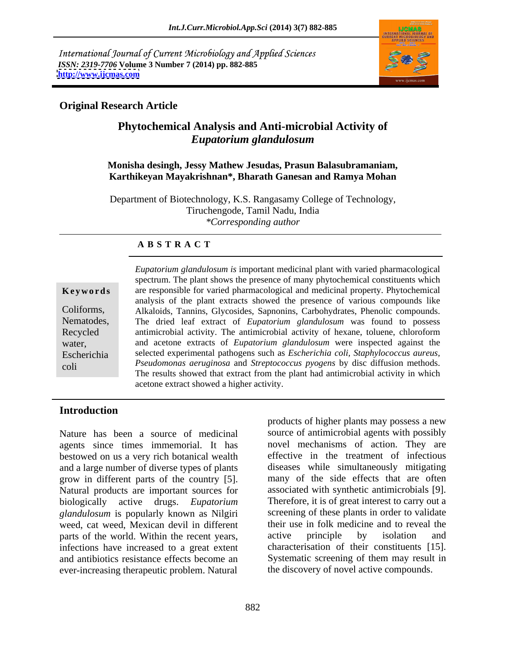International Journal of Current Microbiology and Applied Sciences *ISSN: 2319-7706* **Volume 3 Number 7 (2014) pp. 882-885 <http://www.ijcmas.com>**



## **Original Research Article**

# **Phytochemical Analysis and Anti-microbial Activity of**  *Eupatorium glandulosum*

### **Monisha desingh, Jessy Mathew Jesudas, Prasun Balasubramaniam, Karthikeyan Mayakrishnan\*, Bharath Ganesan and Ramya Mohan**

Department of Biotechnology, K.S. Rangasamy College of Technology, Tiruchengode, Tamil Nadu, India *\*Corresponding author* 

## **A B S T R A C T**

**Keywords** are responsible for varied pharmacological and medicinal property. Phytochemical Coliforms, Alkaloids, Tannins, Glycosides, Sapnonins, Carbohydrates, Phenolic compounds. Nematodes, The dried leaf extract of *Eupatorium glandulosum* was found to possess Recycled antimicrobial activity. The antimicrobial activity of hexane, toluene, chloroform water, and acetone extracts of *Eupatorium glandulosum* were inspected against the selected experimental pathogens such as *Escherichia coli, Staphylococcus aureus*, coli *Pseudomonas aeruginosa* and *Streptococcus pyogens* by disc diffusion methods. *Eupatorium glandulosum is* important medicinal plant with varied pharmacological spectrum. The plant shows the presence of many phytochemical constituents which analysis of the plant extracts showed the presence of various compounds like and acetone extracts of *Eupatorium glandulosum* were inspected against the The results showed that extract from the plant had antimicrobial activity in which acetone extract showed a higher activity.

## **Introduction**

agents since times immemorial. It has bestowed on us a very rich botanical wealth and a large number of diverse types of plants grow in different parts of the country [5]. Natural products are important sources for biologically active drugs. *Eupatorium*  Therefore, it is of great interest to carry out a *glandulosum* is popularly known as Nilgiri weed, cat weed, Mexican devil in different parts of the world. Within the recent years, active principle by isolation and infections have increased to a great extent and antibiotics resistance effects become an Systematic screening of them may result in ever-increasing therapeutic problem. Natural

Nature has been a source of medicinal source of antimicrobial agents with possibly products of higher plants may possess a new novel mechanisms of action. They are effective in the treatment of infectious diseases while simultaneously mitigating many of the side effects that are often associated with synthetic antimicrobials [9]. screening of these plants in order to validate their use in folk medicine and to reveal the active principle by isolation and characterisation of their constituents [15]. the discovery of novel active compounds.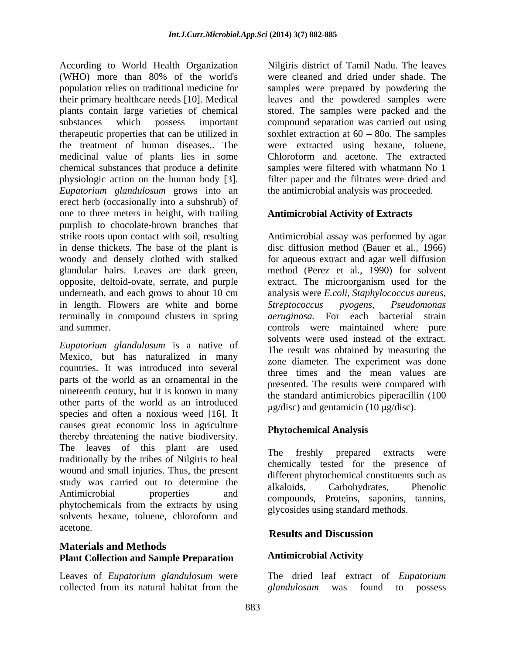According to World Health Organization (WHO) more than 80% of the world's were cleaned and dried under shade. The population relies on traditional medicine for samples were prepared by powdering the their primary healthcare needs [10]. Medical leaves and the powdered samples were plants contain large varieties of chemical stored. The samples were packed and the substances which possess important compound separation was carried out using therapeutic properties that can be utilized in  $\qquad$  soxhlet extraction at  $60 - 80$ o. The samples the treatment of human diseases.. The were extracted using hexane, toluene, medicinal value of plants lies in some chemical substances that produce a definite physiologic action on the human body [3]. filter paper and the filtrates were dried and *Eupatorium glandulosum* grows into an erect herb (occasionally into a subshrub) of one to three meters in height, with trailing purplish to chocolate-brown branches that strike roots upon contact with soil, resulting http://www.Antimicrobial assay was performed by agar in dense thickets. The base of the plant is woody and densely clothed with stalked for aqueous extract and agar well diffusion glandular hairs. Leaves are dark green, method (Perez et al., 1990) for solvent opposite, deltoid-ovate, serrate, and purple extract. The microorganism used for the underneath, and each grows to about 10 cm analysis were *E.coli, Staphylococcus aureus,*  in length. Flowers are white and borne Streptococcus pyogens, Pseudomonas terminally in compound clusters in spring and summer. controls were maintained where pure

*Eupatorium glandulosum* is a native of Mexico, but has naturalized in many countries. It was introduced into several parts of the world as an ornamental in the nineteenth century, but it is known in many other parts of the world as an introduced species and often a noxious weed [16]. It causes great economic loss in agriculture thereby threatening the native biodiversity. The leaves of this plant are used<br>The freshly prepared extracts were traditionally by the tribes of Nilgiris to heal wound and small injuries. Thus, the present study was carried out to determine the alkaloids, Carbohydrates, Phenolic Antimicrobial properties and compounds, Proteins, saponins, tannins, phytochemicals from the extracts by using solvents hexane, toluene, chloroform and  $\mathbb{R}^1$  behavior as the stational method. acetone.

## **Materials and Methods Plant Collection and Sample Preparation**

collected from its natural habitat from the glandulosum was found to possess

Nilgiris district of Tamil Nadu. The leaves Chloroform and acetone. The extracted samples were filtered with whatmann No 1 the antimicrobial analysis was proceeded.

## **Antimicrobial Activity of Extracts**

disc diffusion method (Bauer et al., 1966) *Streptococcus pyogens, Pseudomonas aeruginosa.* For each bacterial strain solvents were used instead of the extract. The result was obtained by measuring the zone diameter. The experiment was done three times and the mean values are presented. The results were compared with the standard antimicrobics piperacillin (100  $\mu$ g/disc) and gentamicin (10  $\mu$ g/disc).

# **Phytochemical Analysis**

The freshly prepared extracts were chemically tested for the presence of different phytochemical constituents such as alkaloids, Carbohydrates, Phenolic glycosides using standard methods.

# **Results and Discussion**

## **Antimicrobial Activity**

Leaves of *Eupatorium glandulosum* were The dried leaf extract of *Eupatorium glandulosum* was found to possess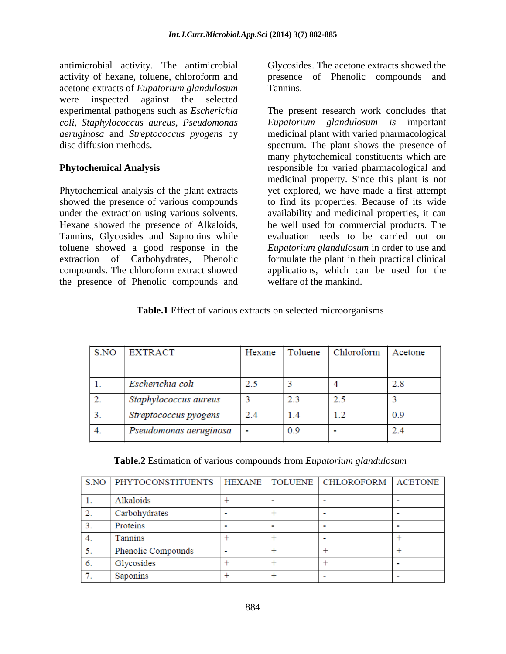antimicrobial activity. The antimicrobial activity of hexane, toluene, chloroform and presence of Phenolic compounds and acetone extracts of *Eupatorium glandulosum*  were inspected against the selected *coli, Staphylococcus aureus, Pseudomonas*

Phytochemical analysis of the plant extracts Hexane showed the presence of Alkaloids, compounds. The chloroform extract showed the presence of Phenolic compounds and Glycosides. The acetone extracts showed the Tannins.

experimental pathogens such as *Escherichia*  The present research work concludes that *aeruginosa* and *Streptococcus pyogens* by medicinal plant with varied pharmacological disc diffusion methods. spectrum. The plant shows the presence of **Phytochemical Analysis** responsible for varied pharmacological and showed the presence of various compounds to find its properties. Because of its wide under the extraction using various solvents. availability and medicinal properties, it can Tannins, Glycosides and Sapnonins while evaluation needs to be carried out on toluene showed a good response in the *Eupatorium glandulosum* in order to use and extraction of Carbohydrates, Phenolic formulate the plant in their practical clinical *Eupatorium glandulosum is* important many phytochemical constituents which are medicinal property. Since this plant is not yet explored, we have made a first attempt be well used for commercial products. The applications, which can be used for the welfare of the mankind.

### **Table.1** Effect of various extracts on selected microorganisms

| S.NO | <b>EXTRACT</b>         | Hexane | Toluene | Chloroform   | Acetone |
|------|------------------------|--------|---------|--------------|---------|
|      |                        |        |         |              |         |
|      | Escherichia coli       | 2.5    |         |              | 2.8     |
|      | Staphylococcus aureus  |        | 23      | 2.5          |         |
|      | Streptococcus pyogens  | 2.4    | 1.4     | $\mathbf{2}$ | 0.9     |
|      | Pseudomonas aeruginosa |        | 0.9     |              |         |

**Table.2** Estimation of various compounds from *Eupatorium glandulosum*

| S.NO | PHYTOCONSTITUENTS  | HEXANE | TOLUENE   CHLOROFORM | <b>ACETONE</b> |
|------|--------------------|--------|----------------------|----------------|
|      | Alkaloids          |        |                      |                |
| 2.   | Carbohydrates      |        |                      |                |
| 3.   | Proteins           |        |                      |                |
|      | Tannins            |        |                      |                |
| 5.   | Phenolic Compounds |        |                      |                |
| 6.   | Glycosides         |        |                      |                |
|      | Saponins           |        |                      |                |